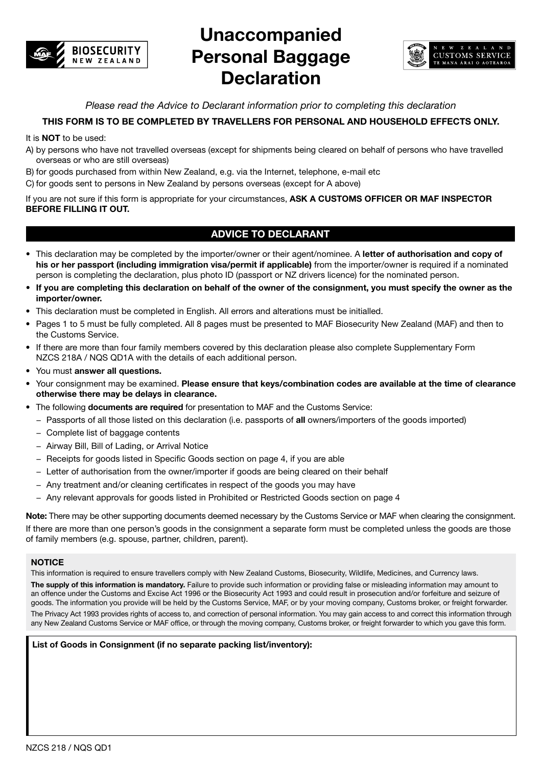

# **Unaccompanied Personal Baggage Declaration**



*Please read the Advice to Declarant information prior to completing this declaration*

## **THIS FORM IS TO BE COMPLETED BY TRAVELLERS FOR PERSONAL AND HOUSEHOLD EFFECTS ONLY.**

#### It is **NOT** to be used:

- A) by persons who have not travelled overseas (except for shipments being cleared on behalf of persons who have travelled overseas or who are still overseas)
- B) for goods purchased from within New Zealand, e.g. via the Internet, telephone, e-mail etc
- C) for goods sent to persons in New Zealand by persons overseas (except for A above)

If you are not sure if this form is appropriate for your circumstances, **ASK A CUSTOMS OFFICER OR MAF INSPECTOR BEFORE FILLING IT OUT.**

## **ADVICE TO DECLARANT**

- This declaration may be completed by the importer/owner or their agent/nominee. A **letter of authorisation and copy of his or her passport (including immigration visa/permit if applicable)** from the importer/owner is required if a nominated person is completing the declaration, plus photo ID (passport or NZ drivers licence) for the nominated person.
- **If you are completing this declaration on behalf of the owner of the consignment, you must specify the owner as the importer/owner.**
- This declaration must be completed in English. All errors and alterations must be initialled.
- Pages 1 to 5 must be fully completed. All 8 pages must be presented to MAF Biosecurity New Zealand (MAF) and then to the Customs Service.
- If there are more than four family members covered by this declaration please also complete Supplementary Form NZCS 218A / NQS QD1A with the details of each additional person.
- You must **answer all questions.**
- Your consignment may be examined. **Please ensure that keys/combination codes are available at the time of clearance otherwise there may be delays in clearance.**
- The following **documents are required** for presentation to MAF and the Customs Service:
	- − Passports of all those listed on this declaration (i.e. passports of **all** owners/importers of the goods imported)
	- − Complete list of baggage contents
	- − Airway Bill, Bill of Lading, or Arrival Notice
	- − Receipts for goods listed in Specific Goods section on page 4, if you are able
	- − Letter of authorisation from the owner/importer if goods are being cleared on their behalf
	- − Any treatment and/or cleaning certificates in respect of the goods you may have
	- − Any relevant approvals for goods listed in Prohibited or Restricted Goods section on page 4

**Note:** There may be other supporting documents deemed necessary by the Customs Service or MAF when clearing the consignment. If there are more than one person's goods in the consignment a separate form must be completed unless the goods are those of family members (e.g. spouse, partner, children, parent).

#### **NOTICE**

This information is required to ensure travellers comply with New Zealand Customs, Biosecurity, Wildlife, Medicines, and Currency laws.

**The supply of this information is mandatory.** Failure to provide such information or providing false or misleading information may amount to an offence under the Customs and Excise Act 1996 or the Biosecurity Act 1993 and could result in prosecution and/or forfeiture and seizure of goods. The information you provide will be held by the Customs Service, MAF, or by your moving company, Customs broker, or freight forwarder. The Privacy Act 1993 provides rights of access to, and correction of personal information. You may gain access to and correct this information through any New Zealand Customs Service or MAF office, or through the moving company, Customs broker, or freight forwarder to which you gave this form.

**List of Goods in Consignment (if no separate packing list/inventory):**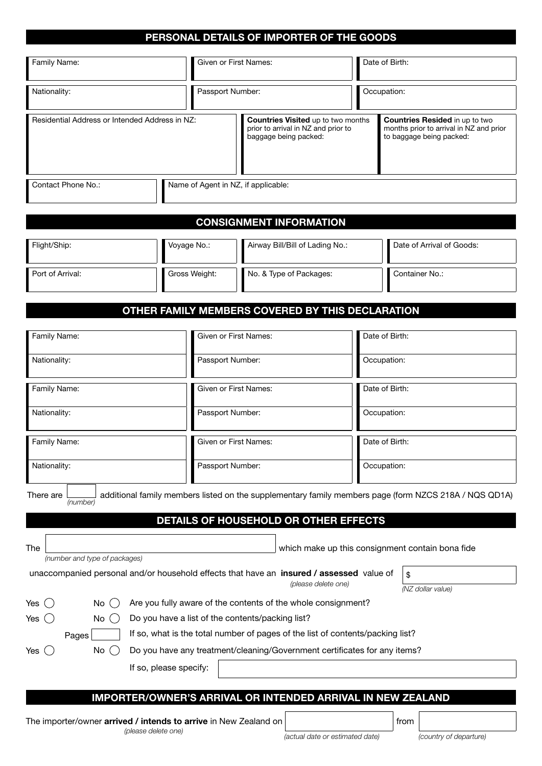## **PERSONAL DETAILS OF IMPORTER OF THE GOODS**

| Family Name:                                   | Given or First Names:               |                                                                                                                                                                                | Date of Birth: |                                         |
|------------------------------------------------|-------------------------------------|--------------------------------------------------------------------------------------------------------------------------------------------------------------------------------|----------------|-----------------------------------------|
| Nationality:                                   | Passport Number:                    |                                                                                                                                                                                | Occupation:    |                                         |
| Residential Address or Intended Address in NZ: |                                     | <b>Countries Resided in up to two</b><br><b>Countries Visited up to two months</b><br>prior to arrival in NZ and prior to<br>to baggage being packed:<br>baggage being packed: |                | months prior to arrival in NZ and prior |
| Contact Phone No.:                             | Name of Agent in NZ, if applicable: |                                                                                                                                                                                |                |                                         |

## **CONSIGNMENT INFORMATION**

| Flight/Ship:     | Voyage No.:   | Airway Bill/Bill of Lading No.: | Date of Arrival of Goods: |
|------------------|---------------|---------------------------------|---------------------------|
| Port of Arrival: | Gross Weight: | No. & Type of Packages:         | l Container No.:          |

## **OTHER FAMILY MEMBERS COVERED BY THIS DECLARATION**

| Family Name:                                                                                                                            | Given or First Names:                                                          | Date of Birth:                                         |                        |  |
|-----------------------------------------------------------------------------------------------------------------------------------------|--------------------------------------------------------------------------------|--------------------------------------------------------|------------------------|--|
| Nationality:                                                                                                                            | Passport Number:                                                               | Occupation:                                            |                        |  |
| Family Name:                                                                                                                            | Given or First Names:                                                          | Date of Birth:                                         |                        |  |
| Nationality:                                                                                                                            | Passport Number:                                                               | Occupation:                                            |                        |  |
| Family Name:                                                                                                                            | Given or First Names:                                                          | Date of Birth:                                         |                        |  |
| Nationality:                                                                                                                            | Passport Number:                                                               | Occupation:                                            |                        |  |
| <b>The</b><br>(number and type of packages)<br>unaccompanied personal and/or household effects that have an insured / assessed value of | (please delete one)                                                            | which make up this consignment contain bona fide<br>\$ | (NZ dollar value)      |  |
| Yes ( )<br>No.<br>(                                                                                                                     | Are you fully aware of the contents of the whole consignment?                  |                                                        |                        |  |
| Yes $($ $)$<br>(<br>No.                                                                                                                 | Do you have a list of the contents/packing list?                               |                                                        |                        |  |
| Pages                                                                                                                                   | If so, what is the total number of pages of the list of contents/packing list? |                                                        |                        |  |
| Do you have any treatment/cleaning/Government certificates for any items?<br>No<br>(<br>Yes $\langle \rangle$                           |                                                                                |                                                        |                        |  |
| If so, please specify:                                                                                                                  |                                                                                |                                                        |                        |  |
|                                                                                                                                         | <b>IMPORTER/OWNER'S ARRIVAL OR INTENDED ARRIVAL IN NEW ZEALAND</b>             |                                                        |                        |  |
| The importer/owner arrived / intends to arrive in New Zealand on<br>(please delete one)                                                 | (actual date or estimated date)                                                | from                                                   | (country of departure) |  |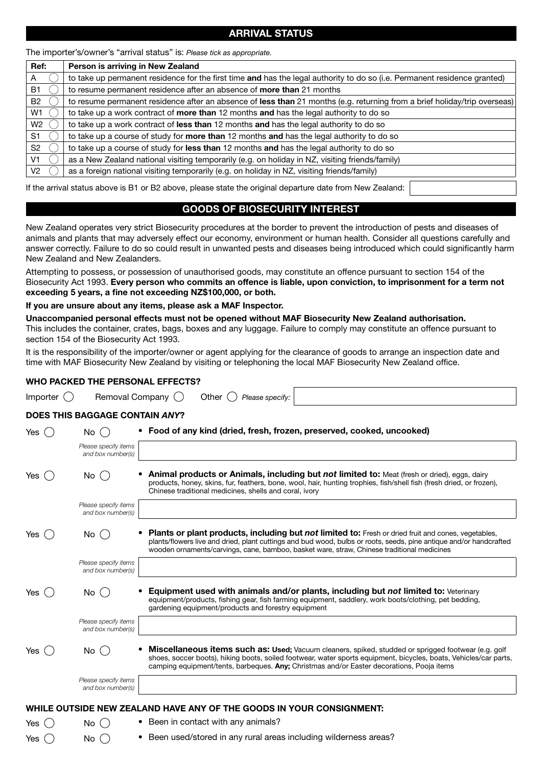## **ARRIVAL STATUS**

The importer's/owner's "arrival status" is: *Please tick as appropriate.*

| Ref:           | Person is arriving in New Zealand                                                                                         |
|----------------|---------------------------------------------------------------------------------------------------------------------------|
| A              | to take up permanent residence for the first time and has the legal authority to do so (i.e. Permanent residence granted) |
| B1             | to resume permanent residence after an absence of <b>more than</b> 21 months                                              |
| <b>B2</b>      | to resume permanent residence after an absence of less than 21 months (e.g. returning from a brief holiday/trip overseas) |
| W1             | to take up a work contract of <b>more than</b> 12 months and has the legal authority to do so                             |
| W2             | to take up a work contract of less than 12 months and has the legal authority to do so                                    |
| S <sub>1</sub> | to take up a course of study for <b>more than</b> 12 months and has the legal authority to do so                          |
| S <sub>2</sub> | to take up a course of study for less than 12 months and has the legal authority to do so                                 |
| V1             | as a New Zealand national visiting temporarily (e.g. on holiday in NZ, visiting friends/family)                           |
| V2             | as a foreign national visiting temporarily (e.g. on holiday in NZ, visiting friends/family)                               |
|                |                                                                                                                           |

If the arrival status above is B1 or B2 above, please state the original departure date from New Zealand:

### **GOODS OF BIOSECURITY INTEREST**

New Zealand operates very strict Biosecurity procedures at the border to prevent the introduction of pests and diseases of animals and plants that may adversely effect our economy, environment or human health. Consider all questions carefully and answer correctly. Failure to do so could result in unwanted pests and diseases being introduced which could significantly harm New Zealand and New Zealanders.

Attempting to possess, or possession of unauthorised goods, may constitute an offence pursuant to section 154 of the Biosecurity Act 1993. **Every person who commits an offence is liable, upon conviction, to imprisonment for a term not exceeding 5 years, a fine not exceeding NZ\$100,000, or both.**

**If you are unsure about any items, please ask a MAF Inspector.**

**Unaccompanied personal effects must not be opened without MAF Biosecurity New Zealand authorisation.** This includes the container, crates, bags, boxes and any luggage. Failure to comply may constitute an offence pursuant to section 154 of the Biosecurity Act 1993.

It is the responsibility of the importer/owner or agent applying for the clearance of goods to arrange an inspection date and time with MAF Biosecurity New Zealand by visiting or telephoning the local MAF Biosecurity New Zealand office.

#### **Who packed the personal effects?**

| Importer (  | Removal Company ()                                    | Other $($<br>Please specify:                                                                                                                                                                                                                                                                                            |
|-------------|-------------------------------------------------------|-------------------------------------------------------------------------------------------------------------------------------------------------------------------------------------------------------------------------------------------------------------------------------------------------------------------------|
|             | <b>DOES THIS BAGGAGE CONTAIN ANY?</b>                 |                                                                                                                                                                                                                                                                                                                         |
| Yes $($ $)$ | $No$ ( )<br>Please specify items<br>and box number(s) | • Food of any kind (dried, fresh, frozen, preserved, cooked, uncooked)                                                                                                                                                                                                                                                  |
| Yes (       | $No$ ( $\overline{a}$                                 | <b>Animal products or Animals, including but not limited to:</b> Meat (fresh or dried), eggs, dairy<br>products, honey, skins, fur, feathers, bone, wool, hair, hunting trophies, fish/shell fish (fresh dried, or frozen),<br>Chinese traditional medicines, shells and coral, ivory                                   |
|             | Please specify items<br>and box number(s)             |                                                                                                                                                                                                                                                                                                                         |
| Yes         | No.                                                   | Plants or plant products, including but not limited to: Fresh or dried fruit and cones, vegetables,<br>plants/flowers live and dried, plant cuttings and bud wood, bulbs or roots, seeds, pine antique and/or handcrafted<br>wooden ornaments/carvings, cane, bamboo, basket ware, straw, Chinese traditional medicines |
|             | Please specify items<br>and box number(s)             |                                                                                                                                                                                                                                                                                                                         |
| Yes         | No                                                    | Equipment used with animals and/or plants, including but not limited to: Veterinary<br>equipment/products, fishing gear, fish farming equipment, saddlery, work boots/clothing, pet bedding,<br>gardening equipment/products and forestry equipment                                                                     |
|             | Please specify items<br>and box number(s)             |                                                                                                                                                                                                                                                                                                                         |
| Yes (       | No (                                                  | Miscellaneous items such as: Used; Vacuum cleaners, spiked, studded or sprigged footwear (e.g. golf<br>shoes, soccer boots), hiking boots, soiled footwear, water sports equipment, bicycles, boats, Vehicles/car parts,<br>camping equipment/tents, barbeques. Any: Christmas and/or Easter decorations, Pooja items   |
|             | Please specify items<br>and box number(s)             |                                                                                                                                                                                                                                                                                                                         |
|             |                                                       | WHILE OUTSIDE NEW ZEALAND HAVE ANY OF THE GOODS IN YOUR CONSIGNMENT.                                                                                                                                                                                                                                                    |
| Yes         | $No$ ( )                                              | Been in contact with any animals?                                                                                                                                                                                                                                                                                       |
| Yes         | $No$ ( $\overline{a}$                                 | • Been used/stored in any rural areas including wilderness areas?                                                                                                                                                                                                                                                       |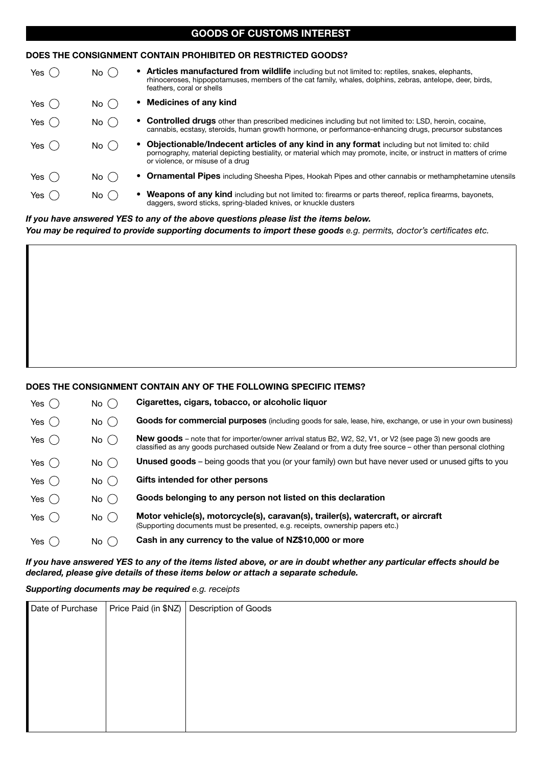|                                                              | GUUDU UI UUUTUUU IITEITEUT      |                                                                                                                                                                                                                                                         |  |  |  |  |
|--------------------------------------------------------------|---------------------------------|---------------------------------------------------------------------------------------------------------------------------------------------------------------------------------------------------------------------------------------------------------|--|--|--|--|
| DOES THE CONSIGNMENT CONTAIN PROHIBITED OR RESTRICTED GOODS? |                                 |                                                                                                                                                                                                                                                         |  |  |  |  |
| Yes (                                                        | No (                            | <b>Articles manufactured from wildlife</b> including but not limited to: reptiles, snakes, elephants,<br>rhinoceroses, hippopotamuses, members of the cat family, whales, dolphins, zebras, antelope, deer, birds,<br>feathers, coral or shells         |  |  |  |  |
| Yes $($                                                      | No (                            | <b>Medicines of any kind</b>                                                                                                                                                                                                                            |  |  |  |  |
| Yes (                                                        | $No$ ( $\overline{\phantom{a}}$ | <b>Controlled drugs</b> other than prescribed medicines including but not limited to: LSD, heroin, cocaine,<br>cannabis, ecstasy, steroids, human growth hormone, or performance-enhancing drugs, precursor substances                                  |  |  |  |  |
| Yes(                                                         | No (                            | Objectionable/Indecent articles of any kind in any format including but not limited to: child<br>pornography, material depicting bestiality, or material which may promote, incite, or instruct in matters of crime<br>or violence, or misuse of a drug |  |  |  |  |
| Yes (                                                        | No (                            | <b>Ornamental Pipes</b> including Sheesha Pipes, Hookah Pipes and other cannabis or methamphetamine utensils                                                                                                                                            |  |  |  |  |
| Yes (                                                        | No (                            | • Weapons of any kind including but not limited to: firearms or parts thereof, replica firearms, bayonets,<br>daggers, sword sticks, spring-bladed knives, or knuckle dusters                                                                           |  |  |  |  |
|                                                              |                                 |                                                                                                                                                                                                                                                         |  |  |  |  |

**GOODS OF CUSTOMS INTEREST**

#### *If you have answered YES to any of the above questions please list the items below.*

You may be required to provide supporting documents to import these goods e.g. permits, doctor's certificates etc.

#### **DOES THE CONSIGNMENT CONTAIN ANY OF THE FOLLOWING SPECIFIC ITEMS?**

| Yes(        | No (     | Cigarettes, cigars, tobacco, or alcoholic liquor                                                                                                                                                                                   |
|-------------|----------|------------------------------------------------------------------------------------------------------------------------------------------------------------------------------------------------------------------------------------|
| Yes $($     | $No$ ( ) | <b>Goods for commercial purposes</b> (including goods for sale, lease, hire, exchange, or use in your own business)                                                                                                                |
| Yes $($     | $No$ ( ) | <b>New goods</b> – note that for importer/owner arrival status B2, W2, S2, V1, or V2 (see page 3) new goods are<br>classified as any goods purchased outside New Zealand or from a duty free source – other than personal clothing |
| Yes ( )     | No ( )   | <b>Unused goods</b> - being goods that you (or your family) own but have never used or unused gifts to you                                                                                                                         |
| Yes $($     | $No$ ( ) | Gifts intended for other persons                                                                                                                                                                                                   |
| Yes $($ $)$ | No ( )   | Goods belonging to any person not listed on this declaration                                                                                                                                                                       |
| Yes ( )     | $No$ ( ) | Motor vehicle(s), motorcycle(s), caravan(s), trailer(s), watercraft, or aircraft<br>(Supporting documents must be presented, e.g. receipts, ownership papers etc.)                                                                 |
| Yes (       | No (     | Cash in any currency to the value of NZ\$10,000 or more                                                                                                                                                                            |

*If you have answered YES to any of the items listed above, or are in doubt whether any particular effects should be declared, please give details of these items below or attach a separate schedule.*

*Supporting documents may be required e.g. receipts*

| Date of Purchase | Price Paid (in \$NZ) Description of Goods |
|------------------|-------------------------------------------|
|                  |                                           |
|                  |                                           |
|                  |                                           |
|                  |                                           |
|                  |                                           |
|                  |                                           |
|                  |                                           |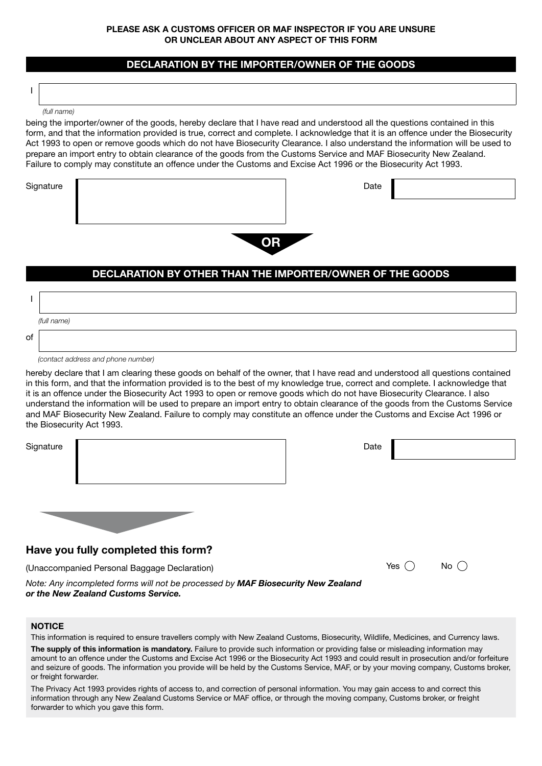#### **Please ask a Customs Officer or MAF Inspector if you are unsure or unclear about any aspect of this form**

## **DECLARATION BY THE IMPORTER/OWNER OF THE GOODS**

*(full name)*

I

being the importer/owner of the goods, hereby declare that I have read and understood all the questions contained in this form, and that the information provided is true, correct and complete. I acknowledge that it is an offence under the Biosecurity Act 1993 to open or remove goods which do not have Biosecurity Clearance. I also understand the information will be used to prepare an import entry to obtain clearance of the goods from the Customs Service and MAF Biosecurity New Zealand. Failure to comply may constitute an offence under the Customs and Excise Act 1996 or the Biosecurity Act 1993.

Signature **Date** 

## **DECLARATION BY OTHER THAN THE IMPORTER/OWNER OF THE GOODS**

**OR**

|    | (full name) |
|----|-------------|
| of |             |

 *(contact address and phone number)*

hereby declare that I am clearing these goods on behalf of the owner, that I have read and understood all questions contained in this form, and that the information provided is to the best of my knowledge true, correct and complete. I acknowledge that it is an offence under the Biosecurity Act 1993 to open or remove goods which do not have Biosecurity Clearance. I also understand the information will be used to prepare an import entry to obtain clearance of the goods from the Customs Service and MAF Biosecurity New Zealand. Failure to comply may constitute an offence under the Customs and Excise Act 1996 or the Biosecurity Act 1993.

| Signature                           | Date |
|-------------------------------------|------|
|                                     |      |
|                                     |      |
|                                     |      |
| Have you fully completed this form? |      |

(Unaccompanied Personal Baggage Declaration)  $\Box$  Yes  $\bigcirc$  No  $\bigcirc$ 

| ۰. |  |
|----|--|
|    |  |

*Note: Any incompleted forms will not be processed by MAF Biosecurity New Zealand or the New Zealand Customs Service.*

#### **NOTICE**

This information is required to ensure travellers comply with New Zealand Customs, Biosecurity, Wildlife, Medicines, and Currency laws.

**The supply of this information is mandatory.** Failure to provide such information or providing false or misleading information may amount to an offence under the Customs and Excise Act 1996 or the Biosecurity Act 1993 and could result in prosecution and/or forfeiture and seizure of goods. The information you provide will be held by the Customs Service, MAF, or by your moving company, Customs broker, or freight forwarder.

The Privacy Act 1993 provides rights of access to, and correction of personal information. You may gain access to and correct this information through any New Zealand Customs Service or MAF office, or through the moving company, Customs broker, or freight forwarder to which you gave this form.